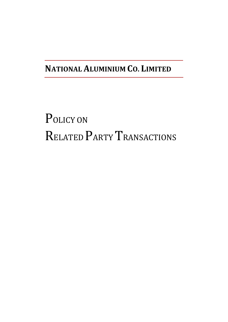## **NATIONAL ALUMINIUM CO. LIMITED**

# POLICY ON RELATED PARTY TRANSACTIONS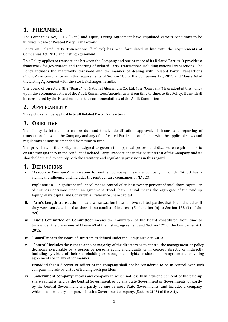## **1. PREAMBLE**

The Companies Act, 2013 ("Act") and Equity Listing Agreement have stipulated various conditions to be fulfilled in case of Related Party Transactions.

Policy on Related Party Transactions ("Policy") has been formulated in line with the requirements of Companies Act, 2013 and Listing Agreement.

This Policy applies to transactions between the Company and one or more of its Related Parties. It provides a framework for governance and reporting of Related Party Transactions including material transactions. The Policy includes the materiality threshold and the manner of dealing with Related Party Transactions ("Policy") in compliance with the requirements of Section 188 of the Companies Act, 2013 and Clause 49 of the Listing Agreement with the Stock Exchanges in India.

The Board of Directors (the "Board") of National Aluminium Co. Ltd. (the "Company") has adopted this Policy upon the recommendation of the Audit Committee. Amendments, from time to time, to the Policy, if any, shall be considered by the Board based on the recommendations of the Audit Committee.

## **2. APPLICABILITY**

This policy shall be applicable to all Related Party Transactions.

## **3. OBJECTIVE**

This Policy is intended to ensure due and timely identification, approval, disclosure and reporting of transactions between the Company and any of its Related Parties in compliance with the applicable laws and regulations as may be amended from time to time.

The provisions of this Policy are designed to govern the approval process and disclosure requirements to ensure transparency in the conduct of Related Party Transactions in the best interest of the Company and its shareholders and to comply with the statutory and regulatory provisions in this regard.

#### **4. DEFINITIONS**

i. "**Associate Company**", in relation to another company, means a company in which NALCO has a significant influence and includes the joint venture companies of NALCO.

**Explanation**.—"significant influence" means control of at least twenty percent of total share capital, or of business decisions under an agreement. Total Share Capital means the aggregate of the paid‐up Equity Share capital and Convertible Preference Share capital.

- ii. "**Arm's Length transaction**" means a transaction between two related parties that is conducted as if they were unrelated so that there is no conflict of interest. (Explanation (b) to Section 188 (1) of the Act).
- iii. **"Audit Committee or Committee"** means the Committee of the Board constituted from time to time under the provisions of Clause 49 of the Listing Agreement and Section 177 of the Companies Act, 2013.
- iv. **"Board"** means the Board of Directors as defined under the Companies Act, 2013.
- v. "**Control**" includes the right to appoint majority of the directors or to control the management or policy decisions exercisable by a person or persons acting individually or in concert, directly or indirectly, including by virtue of their shareholding or management rights or shareholders agreements or voting agreements or in any other manner:

**Provided** that a director or officer of the company shall not be considered to be in control over such company, merely by virtue of holding such position;

vi. "**Government company**" means any company in which not less than fifty-one per cent of the paid-up share capital is held by the Central Government, or by any State Government or Governments, or partly by the Central Government and partly by one or more State Governments, and includes a company which is a subsidiary company of such a Government company. (Section 2(45) of the Act).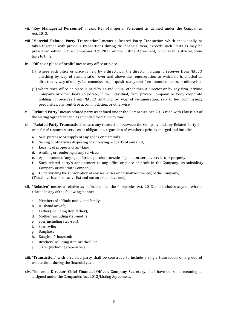- vii. **"Key Managerial Personnel"** means Key Managerial Personnel as defined under the Companies Act, 2013.
- viii. **"Material Related Party Transaction"** means a Related Party Transaction which individually or taken together with previous transactions during the financial year, exceeds such limits as may be prescribed either in the Companies Act, 2013 or the Listing Agreement, whichever is stricter, from time to time.
- ix. "**Office or place of profit**" means any office or place—
	- (i) where such office or place is held by a director, if the director holding it, receives from NALCO anything by way of remuneration over and above the remuneration to which he is entitled as director, by way of salary, fee, commission, perquisites, any rent-free accommodation, or otherwise;
	- (ii) where such office or place is held by an individual other than a director or by any firm, private Company or other body corporate, if the individual, firm, private Company or body corporate holding it, receives from NALCO anything by way of remuneration, salary, fee, commission, perquisites, any rent‐free accommodation, or otherwise.
- x. **"Related Party"** means related party as defined under the Companies Act, 2013 read with Clause 49 of the Listing Agreement and as amended from time to time.
- xi. **"Related Party Transaction"** means any transaction between the Company and any Related Party for transfer of resources, services or obligations, regardless of whether a price is charged and includes –
	- a. Sale, purchase or supply of any goods or materials;
	- b. Selling or otherwise disposing of, or buying property of any kind;
	- c. Leasing of property of any kind;
	- d. Availing or rendering of any services;
	- e. Appointment of any agent for the purchase or sale of goods, materials, services or property;
	- f. Such related party's appointment to any office or place of profit in the Company, its subsidiary Company or associate Company;
	- g. Underwriting the subscription of any securities or derivatives thereof, of the Company;

(The above is an indicative list and not an exhaustive one).

- xii. **"Relative"** means a relative as defined under the Companies Act, 2013 and includes anyone who is related in any of the following manner –
	- a. Members of a Hindu undivided family;
	- b. Husband or wife;
	- c. Father (including step-father);
	- d. Mother (including step-mother);
	- e. Son (including step-son);
	- f. Son's wife;
	- g. Daughter;
	- h. Daughter'shusband;
	- i. Brother (including step-brother); or
	- j. Sister (including step-sister).
- xiii. **"Transaction"** with a related party shall be construed to include a single transaction or a group of transactions during the financial year.
- xiv. The terms **Director, Chief Financial Officer, Company Secretary,** shall have the same meaning as assigned under the Companies Act, 2013/Listing Agreement.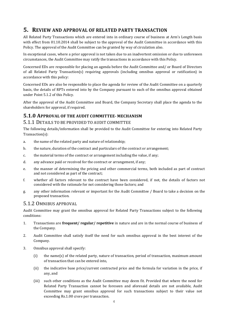## **5. REVIEW AND APPROVAL OF RELATED PARTY TRANSACTION**

All Related Party Transactions which are entered into in ordinary course of business at Arm's Length basis with effect from 01.10.2014 shall be subject to the approval of the Audit Committee in accordance with this Policy. The approval of the Audit Committee can be granted by way of circulation also.

In exceptional cases, where a prior approval is not taken due to an inadvertent omission or due to unforeseen circumstances, the Audit Committee may ratify the transactions in accordance with this Policy.

Concerned EDs are responsible for placing an agenda before the Audit Committee and/ or Board of Directors of all Related Party Transaction(s) requiring approvals (including omnibus approval or ratification) in accordance with this policy:

Concerned EDs are also be responsible to place the agenda for review of the Audit Committee on a quarterly basis, the details of RPTs entered into by the Company pursuant to each of the omnibus approval obtained under Point 5.1.2 of this Policy.

After the approval of the Audit Committee and Board, the Company Secretary shall place the agenda to the shareholders for approval, if required.

#### **5.1.0 APPROVAL OF THE AUDIT COMMITTEE- MECHANISM**

#### 5.1.1 DETAILS TO BE PROVIDED TO AUDIT COMMITTEE

The following details/information shall be provided to the Audit Committee for entering into Related Party Transaction(s):

- a. the name of the related party and nature of relationship;
- b. the nature, duration of the contract and particulars of the contract or arrangement;
- c. the material terms of the contract or arrangement including the value, if any;
- d. any advance paid or received for the contract or arrangement, if any;
- e. the manner of determining the pricing and other commercial terms, both included as part of contract and not considered as part of the contract;
- f. whether all factors relevant to the contract have been considered, if not, the details of factors not considered with the rationale for not considering those factors; and
- g. any other information relevant or important for the Audit Committee / Board to take a decision on the proposed transaction.

#### 5.1.2 OMNIBUS APPROVAL

Audit Committee may grant the omnibus approval for Related Party Transactions subject to the following conditions:

- 1. Transactions are **frequent/ regular/ repetitive** in nature and are in the normal course of business of the Company.
- 2. Audit Committee shall satisfy itself the need for such omnibus approval in the best interest of the Company.
- 3. Omnibus approval shall specify:
	- (i) the name(s) of the related party, nature of transaction, period of transaction, maximum amount of transaction that can be entered into,
	- (ii) the indicative base price/current contracted price and the formula for variation in the price, if any, and
	- (iii) such other conditions as the Audit Committee may deem fit. Provided that where the need for Related Party Transaction cannot be foreseen and aforesaid details are not available, Audit Committee may grant omnibus approval for such transactions subject to their value not exceeding Rs.1.00 crore per transaction.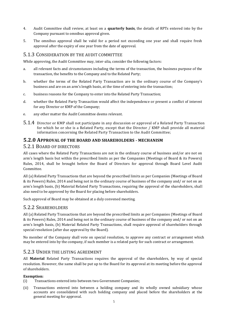- 4. Audit Committee shall review, at least on a **quarterly basis**, the details of RPTs entered into by the Company pursuant to omnibus approval given.
- 5. The omnibus approval shall be valid for a period not exceeding one year and shall require fresh approval after the expiry of one year from the date of approval.

#### 5.1.3 CONSIDERATION BY THE AUDIT COMMITTEE

While approving, the Audit Committee may, inter-alia, consider the following factors:

- a. all relevant facts and circumstances including the terms of the transaction, the business purpose of the transaction, the benefits to the Company and to the Related Party;
- b. whether the terms of the Related Party Transaction are in the ordinary course of the Company's business and are on an arm's length basis, at the time of entering into the transaction;
- c. business reasons for the Company to enter into the Related Party Transaction;
- d. whether the Related Party Transaction would affect the independence or present a conflict of interest for any Director or KMP of the Company;
- e. any other matter the Audit Committee deems relevant.
- 5.1.4 Director or KMP shall not participate in any discussion or approval of a Related Party Transaction for which he or she is a Related Party, except that the Director / KMP shall provide all material information concerning the Related Party Transaction to the Audit Committee;

#### **5.2.0 APPROVAL OF THE BOARD AND SHAREHOLDERS - MECHANISM**

#### 5.2.1 BOARD OF DIRECTORS

All cases where the Related Party Transactions are not in the ordinary course of business and/or are not on arm's length basis but within the prescribed limits as per the Companies (Meetings of Board & its Powers) Rules, 2014, shall be brought before the Board of Directors for approval through Board Level Audit Committee.

All (a) Related Party Transactions that are beyond the prescribed limits as per Companies (Meetings of Board & its Powers) Rules, 2014 and being not in the ordinary course of business of the company and/ or not on an arm's length basis, (b) Material Related Party Transactions, requiring the approval of the shareholders, shall also need to be approved by the Board for placing before shareholders.

Such approval of Board may be obtained at a duly convened meeting.

#### 5.2.2 SHAREHOLDERS

All (a) Related Party Transactions that are beyond the prescribed limits as per Companies (Meetings of Board & its Powers) Rules, 2014 and being not in the ordinary course of business of the company and/ or not on an arm's length basis, (b) Material Related Party Transactions, shall require approval of shareholders through special resolution (after due approval by the Board).

No member of the Company shall vote on special resolution, to approve any contract or arrangement which may be entered into by the company, if such member is a related party for such contract or arrangement.

#### 5.2.3 UNDER THE LISTING AGREEMENT

All **Material** Related Party Transactions requires the approval of the shareholders, by way of special resolution. However, the same shall be put up to the Board for its approval at its meeting before the approval of shareholders.

#### **Exemption:**

- (i) Transactions entered into between two Government Companies;
- (ii) Transactions entered into between a holding company and its wholly owned subsidiary whose accounts are consolidated with such holding company and placed before the shareholders at the general meeting for approval.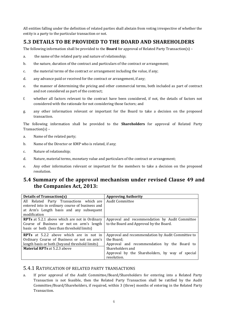All entities falling under the definition of related parties shall abstain from voting irrespective of whether the entity is a party to the particular transaction or not.

## **5.3 DETAILS TO BE PROVIDED TO THE BOARD AND SHAREHOLDERS**

The following information shall be provided to the **Board** for approval of Related Party Transaction(s) –

- a. the name of the related party and nature of relationship;
- b. the nature, duration of the contract and particulars of the contract or arrangement;
- c. the material terms of the contract or arrangement including the value, if any;
- d. any advance paid or received for the contract or arrangement, if any;
- e. the manner of determining the pricing and other commercial terms, both included as part of contract and not considered as part of the contract;
- f. whether all factors relevant to the contract have been considered, if not, the details of factors not considered with the rationale for not considering those factors; and
- g. any other information relevant or important for the Board to take a decision on the proposed transaction.

The following information shall be provided to the **Shareholders** for approval of Related Party Transaction(s) –

- a. Name of the related party;
- b. Name of the Director or KMP who is related, if any;
- c. Nature of relationship;
- d. Nature, material terms, monetary value and particulars of the contract or arrangement;
- e. Any other information relevant or important for the members to take a decision on the proposed resolution.

#### **5.4 Summary of the approval mechanism under revised Clause 49 and the Companies Act, 2013:**

| <b>Details of Transaction(s)</b>                     | <b>Approving Authority</b>                        |
|------------------------------------------------------|---------------------------------------------------|
| All Related Party Transactions which are             | <b>Audit Committee</b>                            |
| entered into in ordinary course of business and      |                                                   |
| at Arm's Length basis and any subsequent             |                                                   |
| modification                                         |                                                   |
| <b>RPTs</b> at 5.2.1 above which are not in Ordinary | Approval and recommendation by Audit Committee    |
| Course of Business or not on arm's length            | to the Board and Approval by the Board.           |
| basis or both (less than threshold limits)           |                                                   |
| <b>RPTs</b> at 5.2.2 above which are in not in       | Approval and recommendation by Audit Committee to |
| Ordinary Course of Business or not on arm's          | the Board:                                        |
| length basis or both (beyond threshold limits)       | Approval and recommendation by the Board to       |
| <b>Material RPTs</b> at 5.2.3 above                  | Shareholders and                                  |
|                                                      | Approval by the Shareholders, by way of special   |
|                                                      | resolution.                                       |

#### 5.4.1 RATIFICATION OF RELATED PARTY TRANSACTIONS

a. If prior approval of the Audit Committee/Board/Shareholders for entering into a Related Party Transaction is not feasible, then the Related Party Transaction shall be ratified by the Audit Committee/Board/Shareholders, if required, within 3 (three) months of entering in the Related Party Transaction.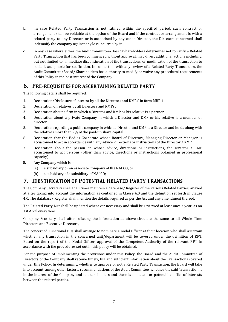- b. In case Related Party Transaction is not ratified within the specified period, such contract or arrangement shall be voidable at the option of the Board and if the contract or arrangement is with a related party to any Director, or is authorised by any other Director, the Directors concerned shall indemnify the company against any loss incurred by it.
- c. In any case where either the Audit Committee/Board/Shareholders determines not to ratify a Related Party Transaction that has been commenced without approval, may direct additional actions including, but not limited to, immediate discontinuation of the transactions, or modification of the transaction to make it acceptable for ratification. In connection with any review of a Related Party Transaction, the Audit Committee/Board/ Shareholders has authority to modify or waive any procedural requirements of this Policy in the best interest of the Company.

### **6. PRE-REQUISITES FOR ASCERTAINING RELATED PARTY**

The following details shall be required:

- 1. Declaration/Disclosure of interest by all the Directors and KMPs' in form MBP‐1.
- 2. Declaration of relatives by all Directors and KMPs'.
- 3. Declaration about a firm in which a Director and KMP or his relative is a partner.
- 4. Declaration about a private Company in which a Director and KMP or his relative is a member or director.
- 5. Declaration regarding a public company in which a Director and KMP is a Director and holds along with the relatives more than 2% of the paid‐up share capital.
- 6. Declaration that the Bodies Corporate whose Board of Directors, Managing Director or Manager is accustomed to act in accordance with any advice, directions or instructions of the Director / KMP.
- 7. Declaration about the person on whose advice, directions or instructions, the Director / KMP accustomed to act persons (other than advice, directions or instructions obtained in professional capacity).
- 8. Any Company which is—
	- (a) a subsidiary or an associate Company of the NALCO; or
	- (b) a subsidiary of a subsidiary of NALCO;

#### **7. IDENTIFICATION OF POTENTIAL RELATED PARTY TRANSACTIONS**

The Company Secretary shall at all times maintain a database/ Register of the various Related Parties, arrived at after taking into account the information as contained in Clause 6.0 and the definition set forth in Clause 4.0. The database/ Register shall mention the details required as per the Act and any amendment thereof.

The Related Party List shall be updated whenever necessary and shall be reviewed at least once a year, as on 1st April every year.

Company Secretary shall after collating the information as above circulate the same to all Whole Time Directors and Executive Directors,

The concerned Functional EDs shall arrange to nominate a nodal Officer at their location who shall ascertain whether any transaction in the concerned unit/department will be covered under the definition of RPT. Based on the report of the Nodal Officer, approval of the Competent Authority of the relevant RPT in accordance with the procedures set out in this policy will be obtained.

For the purpose of implementing the provisions under this Policy, the Board and the Audit Committee of Directors of the Company shall receive timely, full and sufficient information about the Transactions covered under this Policy. In determining, whether to approve or not a Related Party Transaction, the Board will take into account, among other factors, recommendations of the Audit Committee, whether the said Transaction is in the interest of the Company and its stakeholders and there is no actual or potential conflict of interests between the related parties.